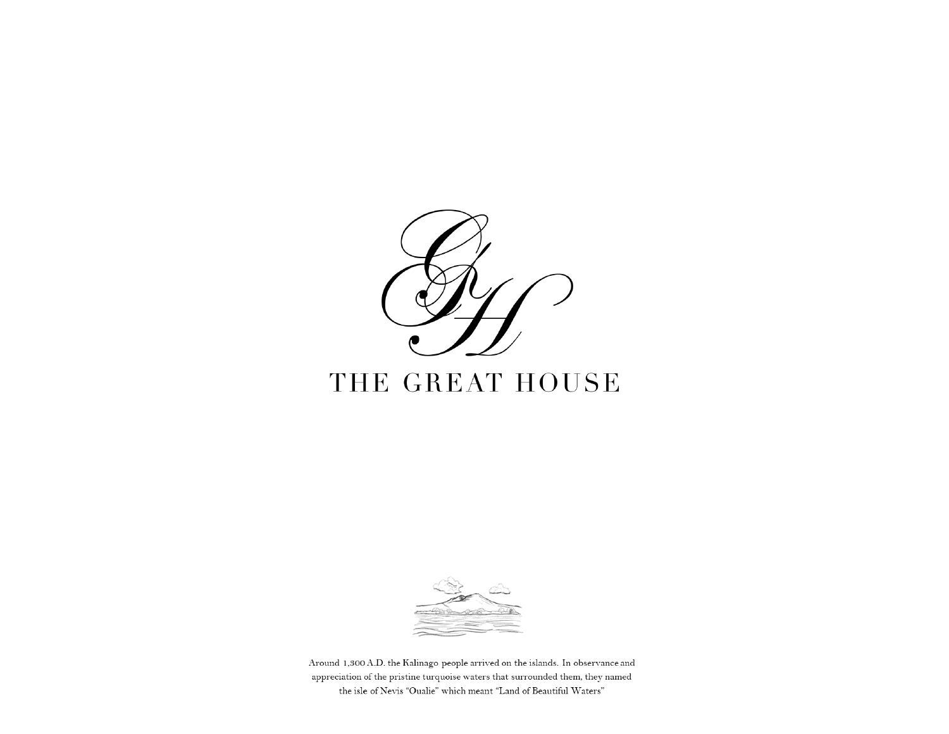

# THE GREAT HOUSE



Around 1,300 A.D. the Kalinago people arrived on the islands. In observance and appreciation of the pristine turquoise waters that surrounded them, they named the isle of Nevis "Oualie" which meant "Land of Beautiful Waters"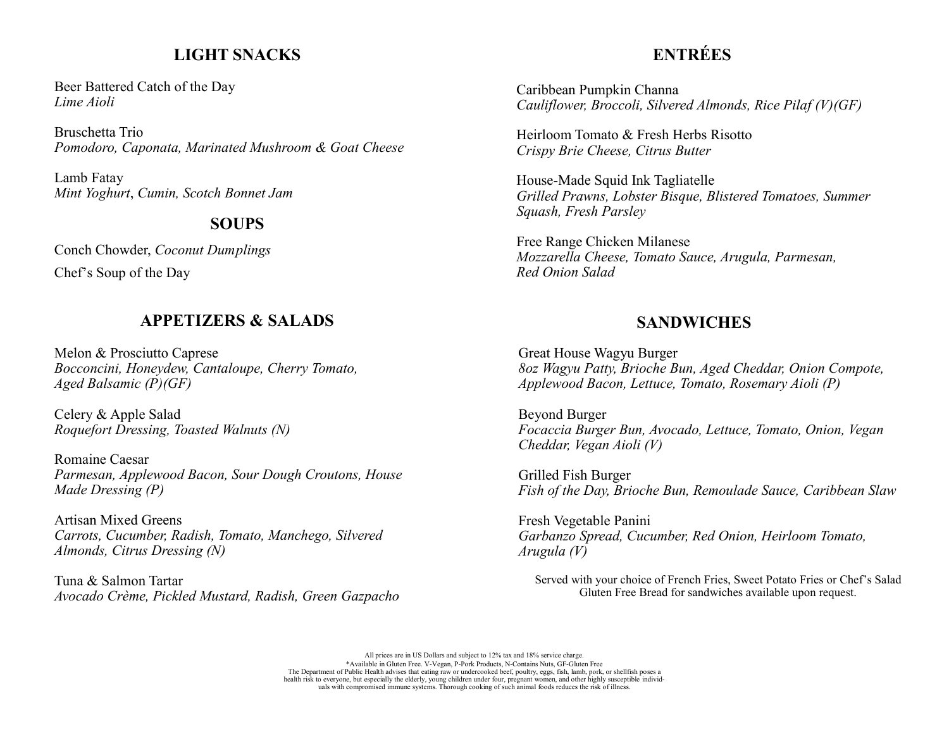## **LIGHT SNACKS**

Beer Battered Catch of the Day *Lime Aioli*

Bruschetta Trio *Pomodoro, Caponata, Marinated Mushroom & Goat Cheese*

Lamb Fatay *Mint Yoghurt*, *Cumin, Scotch Bonnet Jam*

## **SOUPS**

Conch Chowder, *Coconut Dumplings* 

Chef's Soup of the Day

## **APPETIZERS & SALADS**

Melon & Prosciutto Caprese *Bocconcini, Honeydew, Cantaloupe, Cherry Tomato, Aged Balsamic (P)(GF)*

Celery & Apple Salad *Roquefort Dressing, Toasted Walnuts (N)*

Romaine Caesar *Parmesan, Applewood Bacon, Sour Dough Croutons, House Made Dressing (P)*

Artisan Mixed Greens *Carrots, Cucumber, Radish, Tomato, Manchego, Silvered Almonds, Citrus Dressing (N)*

Tuna & Salmon Tartar *Avocado Crème, Pickled Mustard, Radish, Green Gazpacho*

# **ENTRÉES**

Caribbean Pumpkin Channa *Cauliflower, Broccoli, Silvered Almonds, Rice Pilaf (V)(GF)*

Heirloom Tomato & Fresh Herbs Risotto *Crispy Brie Cheese, Citrus Butter*

House-Made Squid Ink Tagliatelle *Grilled Prawns, Lobster Bisque, Blistered Tomatoes, Summer Squash, Fresh Parsley*

Free Range Chicken Milanese *Mozzarella Cheese, Tomato Sauce, Arugula, Parmesan, Red Onion Salad*

## **SANDWICHES**

Great House Wagyu Burger *8oz Wagyu Patty, Brioche Bun, Aged Cheddar, Onion Compote, Applewood Bacon, Lettuce, Tomato, Rosemary Aioli (P)*

Beyond Burger *Focaccia Burger Bun, Avocado, Lettuce, Tomato, Onion, Vegan Cheddar, Vegan Aioli (V)*

Grilled Fish Burger *Fish of the Day, Brioche Bun, Remoulade Sauce, Caribbean Slaw*

Fresh Vegetable Panini *Garbanzo Spread, Cucumber, Red Onion, Heirloom Tomato, Arugula (V)*

Served with your choice of French Fries, Sweet Potato Fries or Chef's Salad Gluten Free Bread for sandwiches available upon request.

All prices are in US Dollars and subject to 12% tax and 18% service charge. \*Available in Gluten Free. V-Vegan, P-Pork Products, N-Contains Nuts, GF-Gluten Free The Department of Public Health advises that eating raw or undercooked beef, poultry, eggs, fish, lamb, pork, or shellfish poses a health risk to everyone, but especially the elderly, young children under four, pregnant women, and other highly susceptible individuals with compromised immune systems. Thorough cooking of such animal foods reduces the risk of illness.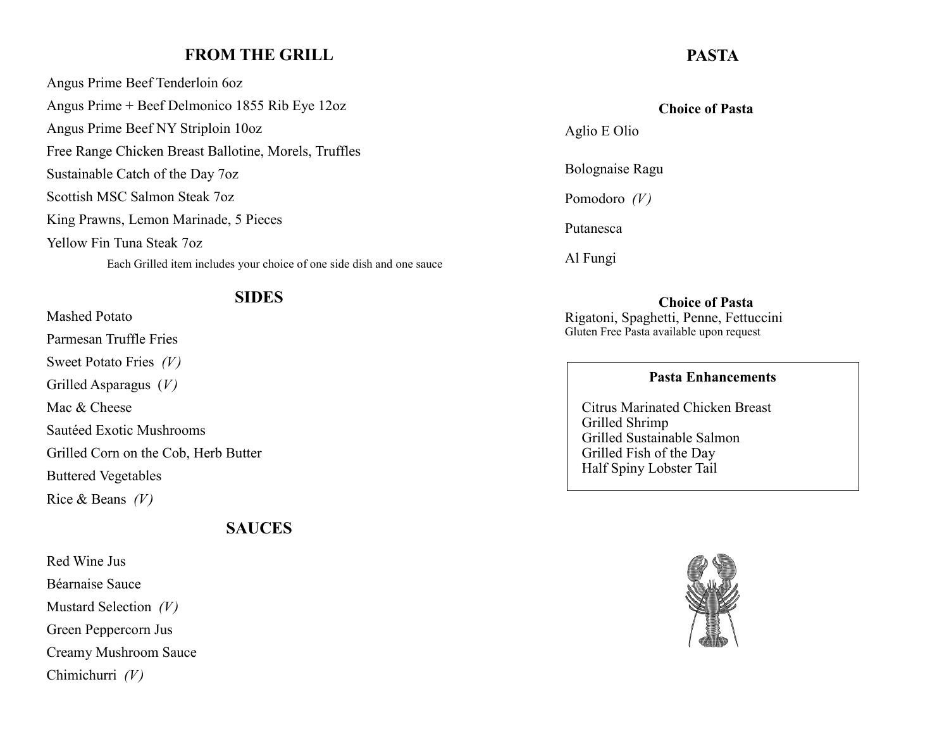## **FROM THE GRILL**

Angus Prime Beef Tenderloin 6oz Angus Prime + Beef Delmonico 1855 Rib Eye 12oz Angus Prime Beef NY Striploin 10oz Free Range Chicken Breast Ballotine, Morels, Truffles Sustainable Catch of the Day 7oz Scottish MSC Salmon Steak 7oz King Prawns, Lemon Marinade, 5 Pieces Yellow Fin Tuna Steak 7oz

Each Grilled item includes your choice of one side dish and one sauce

#### **SIDES**

Mashed Potato Parmesan Truffle Fries Sweet Potato Fries *(V)* Grilled Asparagus (*V)* Mac & Cheese Sautéed Exotic Mushrooms Grilled Corn on the Cob, Herb Butter Buttered Vegetables Rice & Beans *(V)*

## **SAUCES**

Red Wine Jus Béarnaise Sauce Mustard Selection *(V)* Green Peppercorn Jus Creamy Mushroom Sauce Chimichurri *(V)*

## **PASTA**

#### **Choice of Pasta**

Aglio E Olio

Bolognaise Ragu

Pomodoro *(V)*

Putanesca

Al Fungi

#### **Choice of Pasta**

Rigatoni, Spaghetti, Penne, Fettuccini Gluten Free Pasta available upon request

#### **Pasta Enhancements**

Citrus Marinated Chicken Breast Grilled Shrimp Grilled Sustainable Salmon Grilled Fish of the Day Half Spiny Lobster Tail